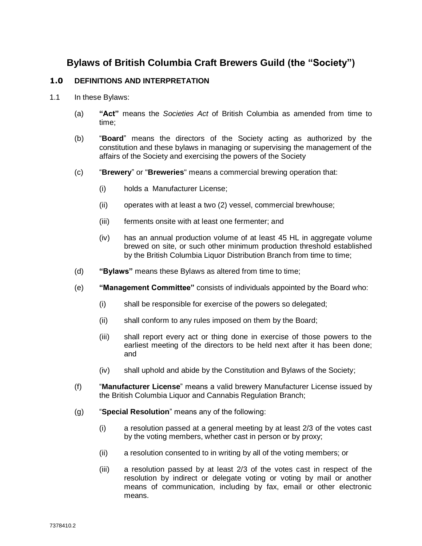# **Bylaws of British Columbia Craft Brewers Guild (the "Society")**

## **1.0 DEFINITIONS AND INTERPRETATION**

- 1.1 In these Bylaws:
	- (a) **"Act"** means the *Societies Act* of British Columbia as amended from time to time;
	- (b) "**Board**" means the directors of the Society acting as authorized by the constitution and these bylaws in managing or supervising the management of the affairs of the Society and exercising the powers of the Society
	- (c) "**Brewery**" or "**Breweries**" means a commercial brewing operation that:
		- (i) holds a Manufacturer License;
		- (ii) operates with at least a two (2) vessel, commercial brewhouse;
		- (iii) ferments onsite with at least one fermenter; and
		- (iv) has an annual production volume of at least 45 HL in aggregate volume brewed on site, or such other minimum production threshold established by the British Columbia Liquor Distribution Branch from time to time:
	- (d) **"Bylaws"** means these Bylaws as altered from time to time;
	- (e) **"Management Committee"** consists of individuals appointed by the Board who:
		- (i) shall be responsible for exercise of the powers so delegated;
		- (ii) shall conform to any rules imposed on them by the Board;
		- (iii) shall report every act or thing done in exercise of those powers to the earliest meeting of the directors to be held next after it has been done; and
		- (iv) shall uphold and abide by the Constitution and Bylaws of the Society;
	- (f) "**Manufacturer License**" means a valid brewery Manufacturer License issued by the British Columbia Liquor and Cannabis Regulation Branch;
	- (g) "**Special Resolution**" means any of the following:
		- (i) a resolution passed at a general meeting by at least 2/3 of the votes cast by the voting members, whether cast in person or by proxy;
		- (ii) a resolution consented to in writing by all of the voting members; or
		- (iii) a resolution passed by at least 2/3 of the votes cast in respect of the resolution by indirect or delegate voting or voting by mail or another means of communication, including by fax, email or other electronic means.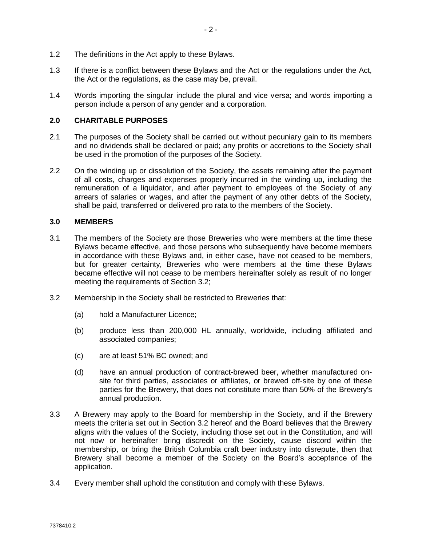- 1.2 The definitions in the Act apply to these Bylaws.
- 1.3 If there is a conflict between these Bylaws and the Act or the regulations under the Act, the Act or the regulations, as the case may be, prevail.
- 1.4 Words importing the singular include the plural and vice versa; and words importing a person include a person of any gender and a corporation.

### **2.0 CHARITABLE PURPOSES**

- 2.1 The purposes of the Society shall be carried out without pecuniary gain to its members and no dividends shall be declared or paid; any profits or accretions to the Society shall be used in the promotion of the purposes of the Society.
- 2.2 On the winding up or dissolution of the Society, the assets remaining after the payment of all costs, charges and expenses properly incurred in the winding up, including the remuneration of a liquidator, and after payment to employees of the Society of any arrears of salaries or wages, and after the payment of any other debts of the Society, shall be paid, transferred or delivered pro rata to the members of the Society.

#### **3.0 MEMBERS**

- 3.1 The members of the Society are those Breweries who were members at the time these Bylaws became effective, and those persons who subsequently have become members in accordance with these Bylaws and, in either case, have not ceased to be members, but for greater certainty, Breweries who were members at the time these Bylaws became effective will not cease to be members hereinafter solely as result of no longer meeting the requirements of Section 3.2;
- 3.2 Membership in the Society shall be restricted to Breweries that:
	- (a) hold a Manufacturer Licence;
	- (b) produce less than 200,000 HL annually, worldwide, including affiliated and associated companies;
	- (c) are at least 51% BC owned; and
	- (d) have an annual production of contract-brewed beer, whether manufactured onsite for third parties, associates or affiliates, or brewed off-site by one of these parties for the Brewery, that does not constitute more than 50% of the Brewery's annual production.
- 3.3 A Brewery may apply to the Board for membership in the Society, and if the Brewery meets the criteria set out in Section 3.2 hereof and the Board believes that the Brewery aligns with the values of the Society, including those set out in the Constitution, and will not now or hereinafter bring discredit on the Society, cause discord within the membership, or bring the British Columbia craft beer industry into disrepute, then that Brewery shall become a member of the Society on the Board's acceptance of the application.
- 3.4 Every member shall uphold the constitution and comply with these Bylaws.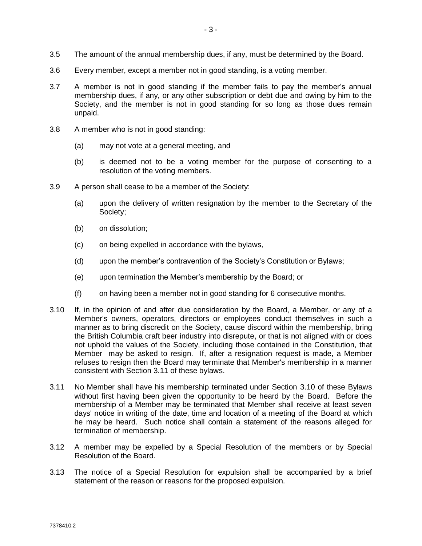- 3.5 The amount of the annual membership dues, if any, must be determined by the Board.
- 3.6 Every member, except a member not in good standing, is a voting member.
- 3.7 A member is not in good standing if the member fails to pay the member's annual membership dues, if any, or any other subscription or debt due and owing by him to the Society, and the member is not in good standing for so long as those dues remain unpaid.
- 3.8 A member who is not in good standing:
	- (a) may not vote at a general meeting, and
	- (b) is deemed not to be a voting member for the purpose of consenting to a resolution of the voting members.
- 3.9 A person shall cease to be a member of the Society:
	- (a) upon the delivery of written resignation by the member to the Secretary of the Society;
	- (b) on dissolution;
	- (c) on being expelled in accordance with the bylaws,
	- (d) upon the member's contravention of the Society's Constitution or Bylaws;
	- (e) upon termination the Member's membership by the Board; or
	- (f) on having been a member not in good standing for 6 consecutive months.
- 3.10 If, in the opinion of and after due consideration by the Board, a Member, or any of a Member's owners, operators, directors or employees conduct themselves in such a manner as to bring discredit on the Society, cause discord within the membership, bring the British Columbia craft beer industry into disrepute, or that is not aligned with or does not uphold the values of the Society, including those contained in the Constitution, that Member may be asked to resign. If, after a resignation request is made, a Member refuses to resign then the Board may terminate that Member's membership in a manner consistent with Section 3.11 of these bylaws.
- 3.11 No Member shall have his membership terminated under Section 3.10 of these Bylaws without first having been given the opportunity to be heard by the Board. Before the membership of a Member may be terminated that Member shall receive at least seven days' notice in writing of the date, time and location of a meeting of the Board at which he may be heard. Such notice shall contain a statement of the reasons alleged for termination of membership.
- 3.12 A member may be expelled by a Special Resolution of the members or by Special Resolution of the Board.
- 3.13 The notice of a Special Resolution for expulsion shall be accompanied by a brief statement of the reason or reasons for the proposed expulsion.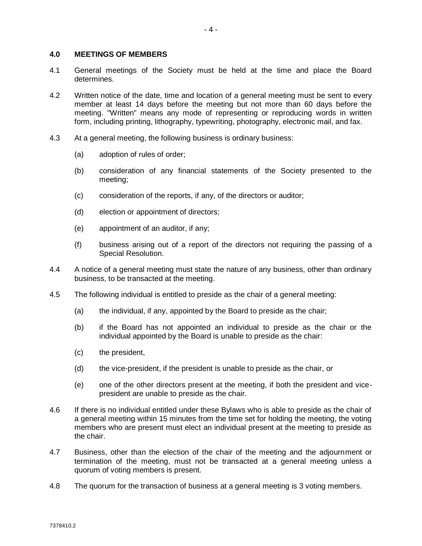#### **4.0 MEETINGS OF MEMBERS**

- 4.1 General meetings of the Society must be held at the time and place the Board determines.
- 4.2 Written notice of the date, time and location of a general meeting must be sent to every member at least 14 days before the meeting but not more than 60 days before the meeting. "Written" means any mode of representing or reproducing words in written form, including printing, lithography, typewriting, photography, electronic mail, and fax.
- 4.3 At a general meeting, the following business is ordinary business:
	- (a) adoption of rules of order;
	- (b) consideration of any financial statements of the Society presented to the meeting;
	- (c) consideration of the reports, if any, of the directors or auditor;
	- (d) election or appointment of directors;
	- (e) appointment of an auditor, if any;
	- (f) business arising out of a report of the directors not requiring the passing of a Special Resolution.
- 4.4 A notice of a general meeting must state the nature of any business, other than ordinary business, to be transacted at the meeting.
- 4.5 The following individual is entitled to preside as the chair of a general meeting:
	- (a) the individual, if any, appointed by the Board to preside as the chair;
	- (b) if the Board has not appointed an individual to preside as the chair or the individual appointed by the Board is unable to preside as the chair:
	- (c) the president,
	- (d) the vice-president, if the president is unable to preside as the chair, or
	- (e) one of the other directors present at the meeting, if both the president and vicepresident are unable to preside as the chair.
- 4.6 If there is no individual entitled under these Bylaws who is able to preside as the chair of a general meeting within 15 minutes from the time set for holding the meeting, the voting members who are present must elect an individual present at the meeting to preside as the chair.
- 4.7 Business, other than the election of the chair of the meeting and the adjournment or termination of the meeting, must not be transacted at a general meeting unless a quorum of voting members is present.
- 4.8 The quorum for the transaction of business at a general meeting is 3 voting members.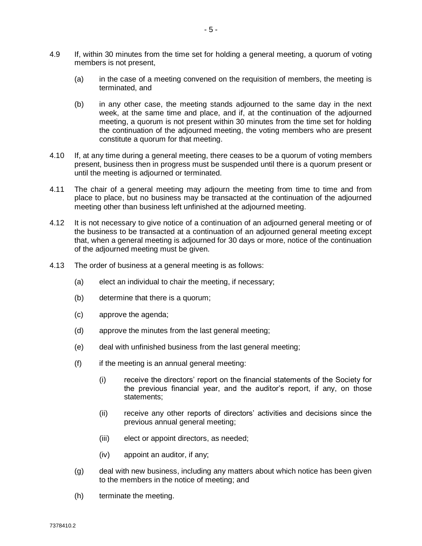- 4.9 If, within 30 minutes from the time set for holding a general meeting, a quorum of voting members is not present,
	- (a) in the case of a meeting convened on the requisition of members, the meeting is terminated, and
	- (b) in any other case, the meeting stands adjourned to the same day in the next week, at the same time and place, and if, at the continuation of the adjourned meeting, a quorum is not present within 30 minutes from the time set for holding the continuation of the adjourned meeting, the voting members who are present constitute a quorum for that meeting.
- 4.10 If, at any time during a general meeting, there ceases to be a quorum of voting members present, business then in progress must be suspended until there is a quorum present or until the meeting is adjourned or terminated.
- 4.11 The chair of a general meeting may adjourn the meeting from time to time and from place to place, but no business may be transacted at the continuation of the adjourned meeting other than business left unfinished at the adjourned meeting.
- 4.12 It is not necessary to give notice of a continuation of an adjourned general meeting or of the business to be transacted at a continuation of an adjourned general meeting except that, when a general meeting is adjourned for 30 days or more, notice of the continuation of the adjourned meeting must be given.
- 4.13 The order of business at a general meeting is as follows:
	- (a) elect an individual to chair the meeting, if necessary;
	- (b) determine that there is a quorum;
	- (c) approve the agenda;
	- (d) approve the minutes from the last general meeting;
	- (e) deal with unfinished business from the last general meeting;
	- $(f)$  if the meeting is an annual general meeting:
		- (i) receive the directors' report on the financial statements of the Society for the previous financial year, and the auditor's report, if any, on those statements;
		- (ii) receive any other reports of directors' activities and decisions since the previous annual general meeting;
		- (iii) elect or appoint directors, as needed;
		- (iv) appoint an auditor, if any;
	- (g) deal with new business, including any matters about which notice has been given to the members in the notice of meeting; and
	- (h) terminate the meeting.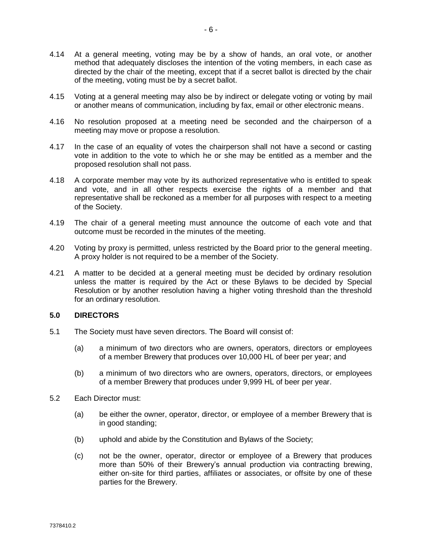- 4.15 Voting at a general meeting may also be by indirect or delegate voting or voting by mail or another means of communication, including by fax, email or other electronic means.
- 4.16 No resolution proposed at a meeting need be seconded and the chairperson of a meeting may move or propose a resolution.
- 4.17 In the case of an equality of votes the chairperson shall not have a second or casting vote in addition to the vote to which he or she may be entitled as a member and the proposed resolution shall not pass.
- 4.18 A corporate member may vote by its authorized representative who is entitled to speak and vote, and in all other respects exercise the rights of a member and that representative shall be reckoned as a member for all purposes with respect to a meeting of the Society.
- 4.19 The chair of a general meeting must announce the outcome of each vote and that outcome must be recorded in the minutes of the meeting.
- 4.20 Voting by proxy is permitted, unless restricted by the Board prior to the general meeting. A proxy holder is not required to be a member of the Society.
- 4.21 A matter to be decided at a general meeting must be decided by ordinary resolution unless the matter is required by the Act or these Bylaws to be decided by Special Resolution or by another resolution having a higher voting threshold than the threshold for an ordinary resolution.

#### **5.0 DIRECTORS**

- 5.1 The Society must have seven directors. The Board will consist of:
	- (a) a minimum of two directors who are owners, operators, directors or employees of a member Brewery that produces over 10,000 HL of beer per year; and
	- (b) a minimum of two directors who are owners, operators, directors, or employees of a member Brewery that produces under 9,999 HL of beer per year.
- 5.2 Each Director must:
	- (a) be either the owner, operator, director, or employee of a member Brewery that is in good standing;
	- (b) uphold and abide by the Constitution and Bylaws of the Society;
	- (c) not be the owner, operator, director or employee of a Brewery that produces more than 50% of their Brewery's annual production via contracting brewing, either on-site for third parties, affiliates or associates, or offsite by one of these parties for the Brewery.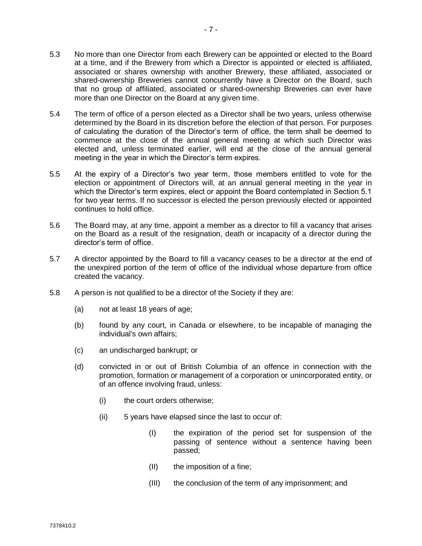- 5.3 No more than one Director from each Brewery can be appointed or elected to the Board at a time, and if the Brewery from which a Director is appointed or elected is affiliated, associated or shares ownership with another Brewery, these affiliated, associated or shared-ownership Breweries cannot concurrently have a Director on the Board, such that no group of affiliated, associated or shared-ownership Breweries can ever have more than one Director on the Board at any given time.
- 5.4 The term of office of a person elected as a Director shall be two years, unless otherwise determined by the Board in its discretion before the election of that person. For purposes of calculating the duration of the Director's term of office, the term shall be deemed to commence at the close of the annual general meeting at which such Director was elected and, unless terminated earlier, will end at the close of the annual general meeting in the year in which the Director's term expires.
- 5.5 At the expiry of a Director's two year term, those members entitled to vote for the election or appointment of Directors will, at an annual general meeting in the year in which the Director's term expires, elect or appoint the Board contemplated in Section 5.1 for two year terms. If no successor is elected the person previously elected or appointed continues to hold office.
- 5.6 The Board may, at any time, appoint a member as a director to fill a vacancy that arises on the Board as a result of the resignation, death or incapacity of a director during the director's term of office.
- 5.7 A director appointed by the Board to fill a vacancy ceases to be a director at the end of the unexpired portion of the term of office of the individual whose departure from office created the vacancy.
- 5.8 A person is not qualified to be a director of the Society if they are:
	- (a) not at least 18 years of age;
	- (b) found by any court, in Canada or elsewhere, to be incapable of managing the individual's own affairs;
	- (c) an undischarged bankrupt; or
	- (d) convicted in or out of British Columbia of an offence in connection with the promotion, formation or management of a corporation or unincorporated entity, or of an offence involving fraud, unless:
		- (i) the court orders otherwise;
		- (ii) 5 years have elapsed since the last to occur of:
			- (I) the expiration of the period set for suspension of the passing of sentence without a sentence having been passed;
			- (II) the imposition of a fine;
			- (III) the conclusion of the term of any imprisonment; and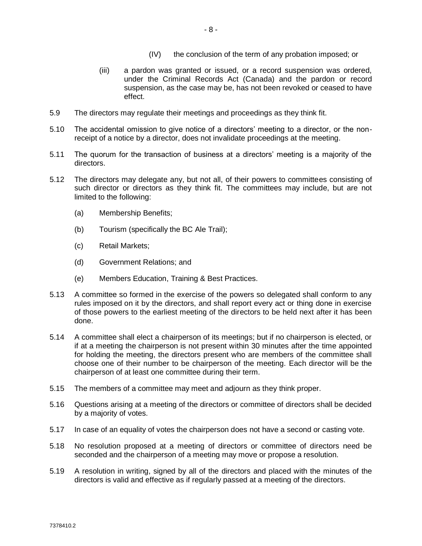- (IV) the conclusion of the term of any probation imposed; or
- (iii) a pardon was granted or issued, or a record suspension was ordered, under the Criminal Records Act (Canada) and the pardon or record suspension, as the case may be, has not been revoked or ceased to have effect.
- 5.9 The directors may regulate their meetings and proceedings as they think fit.
- 5.10 The accidental omission to give notice of a directors' meeting to a director, or the nonreceipt of a notice by a director, does not invalidate proceedings at the meeting.
- 5.11 The quorum for the transaction of business at a directors' meeting is a majority of the directors.
- 5.12 The directors may delegate any, but not all, of their powers to committees consisting of such director or directors as they think fit. The committees may include, but are not limited to the following:
	- (a) Membership Benefits;
	- (b) Tourism (specifically the BC Ale Trail);
	- (c) Retail Markets;
	- (d) Government Relations; and
	- (e) Members Education, Training & Best Practices.
- 5.13 A committee so formed in the exercise of the powers so delegated shall conform to any rules imposed on it by the directors, and shall report every act or thing done in exercise of those powers to the earliest meeting of the directors to be held next after it has been done.
- 5.14 A committee shall elect a chairperson of its meetings; but if no chairperson is elected, or if at a meeting the chairperson is not present within 30 minutes after the time appointed for holding the meeting, the directors present who are members of the committee shall choose one of their number to be chairperson of the meeting. Each director will be the chairperson of at least one committee during their term.
- 5.15 The members of a committee may meet and adjourn as they think proper.
- 5.16 Questions arising at a meeting of the directors or committee of directors shall be decided by a majority of votes.
- 5.17 In case of an equality of votes the chairperson does not have a second or casting vote.
- 5.18 No resolution proposed at a meeting of directors or committee of directors need be seconded and the chairperson of a meeting may move or propose a resolution.
- 5.19 A resolution in writing, signed by all of the directors and placed with the minutes of the directors is valid and effective as if regularly passed at a meeting of the directors.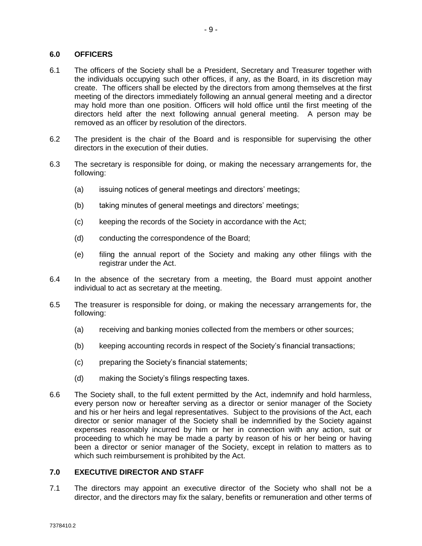#### **6.0 OFFICERS**

- 6.1 The officers of the Society shall be a President, Secretary and Treasurer together with the individuals occupying such other offices, if any, as the Board, in its discretion may create. The officers shall be elected by the directors from among themselves at the first meeting of the directors immediately following an annual general meeting and a director may hold more than one position. Officers will hold office until the first meeting of the directors held after the next following annual general meeting. A person may be removed as an officer by resolution of the directors.
- 6.2 The president is the chair of the Board and is responsible for supervising the other directors in the execution of their duties.
- 6.3 The secretary is responsible for doing, or making the necessary arrangements for, the following:
	- (a) issuing notices of general meetings and directors' meetings;
	- (b) taking minutes of general meetings and directors' meetings;
	- (c) keeping the records of the Society in accordance with the Act;
	- (d) conducting the correspondence of the Board;
	- (e) filing the annual report of the Society and making any other filings with the registrar under the Act.
- 6.4 In the absence of the secretary from a meeting, the Board must appoint another individual to act as secretary at the meeting.
- 6.5 The treasurer is responsible for doing, or making the necessary arrangements for, the following:
	- (a) receiving and banking monies collected from the members or other sources;
	- (b) keeping accounting records in respect of the Society's financial transactions;
	- (c) preparing the Society's financial statements;
	- (d) making the Society's filings respecting taxes.
- 6.6 The Society shall, to the full extent permitted by the Act, indemnify and hold harmless, every person now or hereafter serving as a director or senior manager of the Society and his or her heirs and legal representatives. Subject to the provisions of the Act, each director or senior manager of the Society shall be indemnified by the Society against expenses reasonably incurred by him or her in connection with any action, suit or proceeding to which he may be made a party by reason of his or her being or having been a director or senior manager of the Society, except in relation to matters as to which such reimbursement is prohibited by the Act.

#### **7.0 EXECUTIVE DIRECTOR AND STAFF**

7.1 The directors may appoint an executive director of the Society who shall not be a director, and the directors may fix the salary, benefits or remuneration and other terms of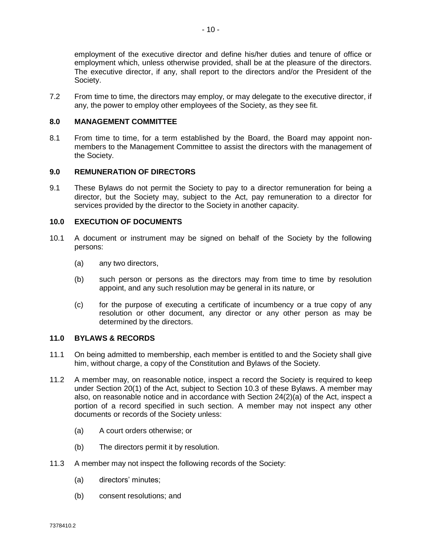employment of the executive director and define his/her duties and tenure of office or employment which, unless otherwise provided, shall be at the pleasure of the directors. The executive director, if any, shall report to the directors and/or the President of the Society.

7.2 From time to time, the directors may employ, or may delegate to the executive director, if any, the power to employ other employees of the Society, as they see fit.

## **8.0 MANAGEMENT COMMITTEE**

8.1 From time to time, for a term established by the Board, the Board may appoint nonmembers to the Management Committee to assist the directors with the management of the Society.

## **9.0 REMUNERATION OF DIRECTORS**

9.1 These Bylaws do not permit the Society to pay to a director remuneration for being a director, but the Society may, subject to the Act, pay remuneration to a director for services provided by the director to the Society in another capacity.

## **10.0 EXECUTION OF DOCUMENTS**

- 10.1 A document or instrument may be signed on behalf of the Society by the following persons:
	- (a) any two directors,
	- (b) such person or persons as the directors may from time to time by resolution appoint, and any such resolution may be general in its nature, or
	- (c) for the purpose of executing a certificate of incumbency or a true copy of any resolution or other document, any director or any other person as may be determined by the directors.

#### **11.0 BYLAWS & RECORDS**

- 11.1 On being admitted to membership, each member is entitled to and the Society shall give him, without charge, a copy of the Constitution and Bylaws of the Society.
- 11.2 A member may, on reasonable notice, inspect a record the Society is required to keep under Section 20(1) of the Act, subject to Section 10.3 of these Bylaws. A member may also, on reasonable notice and in accordance with Section 24(2)(a) of the Act, inspect a portion of a record specified in such section. A member may not inspect any other documents or records of the Society unless:
	- (a) A court orders otherwise; or
	- (b) The directors permit it by resolution.
- 11.3 A member may not inspect the following records of the Society:
	- (a) directors' minutes;
	- (b) consent resolutions; and